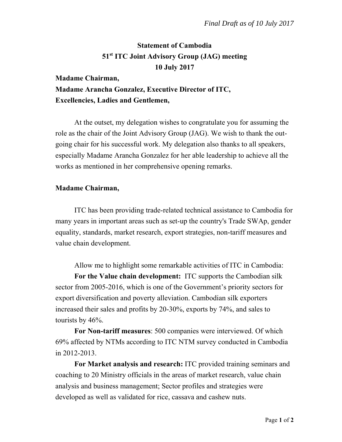# **Statement of Cambodia 51st ITC Joint Advisory Group (JAG) meeting 10 July 2017**

## **Madame Chairman, Madame Arancha Gonzalez, Executive Director of ITC, Excellencies, Ladies and Gentlemen,**

At the outset, my delegation wishes to congratulate you for assuming the role as the chair of the Joint Advisory Group (JAG). We wish to thank the outgoing chair for his successful work. My delegation also thanks to all speakers, especially Madame Arancha Gonzalez for her able leadership to achieve all the works as mentioned in her comprehensive opening remarks.

### **Madame Chairman,**

ITC has been providing trade-related technical assistance to Cambodia for many years in important areas such as set-up the country's Trade SWAp, gender equality, standards, market research, export strategies, non-tariff measures and value chain development.

Allow me to highlight some remarkable activities of ITC in Cambodia: **For the Value chain development:** ITC supports the Cambodian silk sector from 2005-2016, which is one of the Government's priority sectors for export diversification and poverty alleviation. Cambodian silk exporters increased their sales and profits by 20-30%, exports by 74%, and sales to tourists by 46%.

**For Non-tariff measures**: 500 companies were interviewed. Of which 69% affected by NTMs according to ITC NTM survey conducted in Cambodia in 2012-2013.

**For Market analysis and research:** ITC provided training seminars and coaching to 20 Ministry officials in the areas of market research, value chain analysis and business management; Sector profiles and strategies were developed as well as validated for rice, cassava and cashew nuts.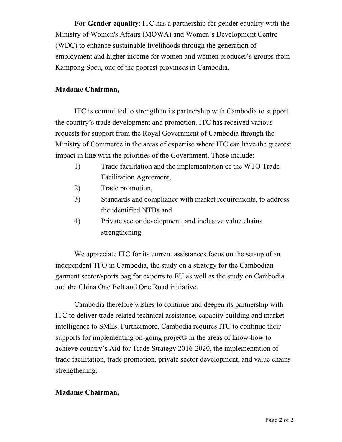**For Gender equality**: ITC has a partnership for gender equality with the Ministry of Women's Affairs (MOWA) and Women's Development Centre (WDC) to enhance sustainable livelihoods through the generation of employment and higher income for women and women producer's groups from Kampong Speu, one of the poorest provinces in Cambodia,

#### **Madame Chairman,**

ITC is committed to strengthen its partnership with Cambodia to support the country's trade development and promotion. ITC has received various requests for support from the Royal Government of Cambodia through the Ministry of Commerce in the areas of expertise where ITC can have the greatest impact in line with the priorities of the Government. Those include:

- 1) Trade facilitation and the implementation of the WTO Trade Facilitation Agreement,
- 2) Trade promotion,
- 3) Standards and compliance with market requirements, to address the identified NTBs and
- 4) Private sector development, and inclusive value chains strengthening.

We appreciate ITC for its current assistances focus on the set-up of an independent TPO in Cambodia, the study on a strategy for the Cambodian garment sector/sports bag for exports to EU as well as the study on Cambodia and the China One Belt and One Road initiative.

Cambodia therefore wishes to continue and deepen its partnership with ITC to deliver trade related technical assistance, capacity building and market intelligence to SMEs. Furthermore, Cambodia requires ITC to continue their supports for implementing on-going projects in the areas of know-how to achieve country's Aid for Trade Strategy 2016-2020, the implementation of trade facilitation, trade promotion, private sector development, and value chains strengthening.

#### **Madame Chairman,**